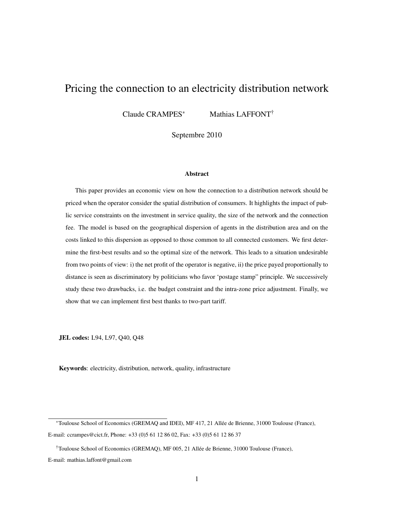# Pricing the connection to an electricity distribution network

Claude CRAMPES<sup>∗</sup> Mathias LAFFONT<sup>†</sup>

Septembre 2010

#### Abstract

This paper provides an economic view on how the connection to a distribution network should be priced when the operator consider the spatial distribution of consumers. It highlights the impact of public service constraints on the investment in service quality, the size of the network and the connection fee. The model is based on the geographical dispersion of agents in the distribution area and on the costs linked to this dispersion as opposed to those common to all connected customers. We first determine the first-best results and so the optimal size of the network. This leads to a situation undesirable from two points of view: i) the net profit of the operator is negative, ii) the price payed proportionally to distance is seen as discriminatory by politicians who favor 'postage stamp" principle. We successively study these two drawbacks, i.e. the budget constraint and the intra-zone price adjustment. Finally, we show that we can implement first best thanks to two-part tariff.

JEL codes: L94, L97, Q40, Q48

Keywords: electricity, distribution, network, quality, infrastructure

<sup>∗</sup>Toulouse School of Economics (GREMAQ and IDEI), MF 417, 21 Allee de Brienne, 31000 Toulouse (France), ´ E-mail: ccrampes@cict.fr, Phone: +33 (0)5 61 12 86 02, Fax: +33 (0)5 61 12 86 37

<sup>†</sup>Toulouse School of Economics (GREMAQ), MF 005, 21 Allee de Brienne, 31000 Toulouse (France), ´ E-mail: mathias.laffont@gmail.com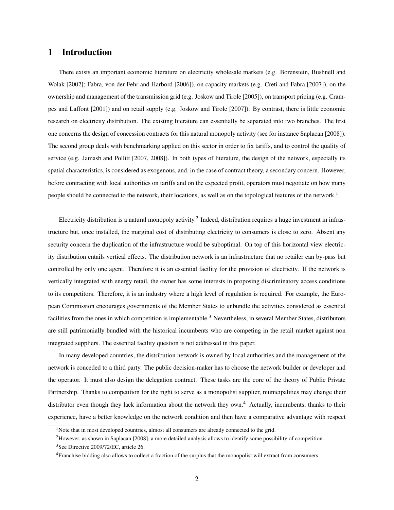### 1 Introduction

There exists an important economic literature on electricity wholesale markets (e.g. Borenstein, Bushnell and Wolak [2002]; Fabra, von der Fehr and Harbord [2006]), on capacity markets (e.g. Creti and Fabra [2007]), on the ownership and management of the transmission grid (e.g. Joskow and Tirole [2005]), on transport pricing (e.g. Crampes and Laffont [2001]) and on retail supply (e.g. Joskow and Tirole [2007]). By contrast, there is little economic research on electricity distribution. The existing literature can essentially be separated into two branches. The first one concerns the design of concession contracts for this natural monopoly activity (see for instance Saplacan [2008]). The second group deals with benchmarking applied on this sector in order to fix tariffs, and to control the quality of service (e.g. Jamasb and Pollitt [2007, 2008]). In both types of literature, the design of the network, especially its spatial characteristics, is considered as exogenous, and, in the case of contract theory, a secondary concern. However, before contracting with local authorities on tariffs and on the expected profit, operators must negotiate on how many people should be connected to the network, their locations, as well as on the topological features of the network.<sup>1</sup>

Electricity distribution is a natural monopoly activity.<sup>2</sup> Indeed, distribution requires a huge investment in infrastructure but, once installed, the marginal cost of distributing electricity to consumers is close to zero. Absent any security concern the duplication of the infrastructure would be suboptimal. On top of this horizontal view electricity distribution entails vertical effects. The distribution network is an infrastructure that no retailer can by-pass but controlled by only one agent. Therefore it is an essential facility for the provision of electricity. If the network is vertically integrated with energy retail, the owner has some interests in proposing discriminatory access conditions to its competitors. Therefore, it is an industry where a high level of regulation is required. For example, the European Commission encourages governments of the Member States to unbundle the activities considered as essential facilities from the ones in which competition is implementable.<sup>3</sup> Nevertheless, in several Member States, distributors are still patrimonially bundled with the historical incumbents who are competing in the retail market against non integrated suppliers. The essential facility question is not addressed in this paper.

In many developed countries, the distribution network is owned by local authorities and the management of the network is conceded to a third party. The public decision-maker has to choose the network builder or developer and the operator. It must also design the delegation contract. These tasks are the core of the theory of Public Private Partnership. Thanks to competition for the right to serve as a monopolist supplier, municipalities may change their distributor even though they lack information about the network they own.<sup>4</sup> Actually, incumbents, thanks to their experience, have a better knowledge on the network condition and then have a comparative advantage with respect

<sup>&</sup>lt;sup>1</sup>Note that in most developed countries, almost all consumers are already connected to the grid.

<sup>2</sup>However, as shown in Saplacan [2008], a more detailed analysis allows to identify some possibility of competition. <sup>3</sup>See Directive 2009/72/EC, article 26.

<sup>4</sup>Franchise bidding also allows to collect a fraction of the surplus that the monopolist will extract from consumers.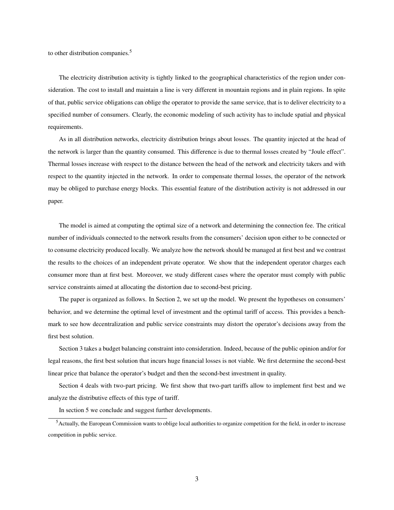to other distribution companies.<sup>5</sup>

The electricity distribution activity is tightly linked to the geographical characteristics of the region under consideration. The cost to install and maintain a line is very different in mountain regions and in plain regions. In spite of that, public service obligations can oblige the operator to provide the same service, that is to deliver electricity to a specified number of consumers. Clearly, the economic modeling of such activity has to include spatial and physical requirements.

As in all distribution networks, electricity distribution brings about losses. The quantity injected at the head of the network is larger than the quantity consumed. This difference is due to thermal losses created by "Joule effect". Thermal losses increase with respect to the distance between the head of the network and electricity takers and with respect to the quantity injected in the network. In order to compensate thermal losses, the operator of the network may be obliged to purchase energy blocks. This essential feature of the distribution activity is not addressed in our paper.

The model is aimed at computing the optimal size of a network and determining the connection fee. The critical number of individuals connected to the network results from the consumers' decision upon either to be connected or to consume electricity produced locally. We analyze how the network should be managed at first best and we contrast the results to the choices of an independent private operator. We show that the independent operator charges each consumer more than at first best. Moreover, we study different cases where the operator must comply with public service constraints aimed at allocating the distortion due to second-best pricing.

The paper is organized as follows. In Section 2, we set up the model. We present the hypotheses on consumers' behavior, and we determine the optimal level of investment and the optimal tariff of access. This provides a benchmark to see how decentralization and public service constraints may distort the operator's decisions away from the first best solution.

Section 3 takes a budget balancing constraint into consideration. Indeed, because of the public opinion and/or for legal reasons, the first best solution that incurs huge financial losses is not viable. We first determine the second-best linear price that balance the operator's budget and then the second-best investment in quality.

Section 4 deals with two-part pricing. We first show that two-part tariffs allow to implement first best and we analyze the distributive effects of this type of tariff.

In section 5 we conclude and suggest further developments.

<sup>5</sup>Actually, the European Commission wants to oblige local authorities to organize competition for the field, in order to increase competition in public service.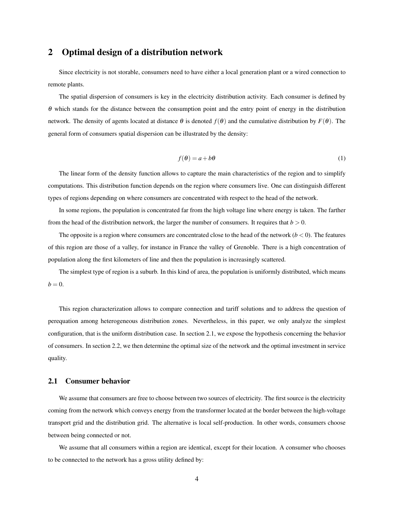# 2 Optimal design of a distribution network

Since electricity is not storable, consumers need to have either a local generation plant or a wired connection to remote plants.

The spatial dispersion of consumers is key in the electricity distribution activity. Each consumer is defined by  $\theta$  which stands for the distance between the consumption point and the entry point of energy in the distribution network. The density of agents located at distance θ is denoted *f*(θ) and the cumulative distribution by *F*(θ). The general form of consumers spatial dispersion can be illustrated by the density:

$$
f(\theta) = a + b\theta \tag{1}
$$

The linear form of the density function allows to capture the main characteristics of the region and to simplify computations. This distribution function depends on the region where consumers live. One can distinguish different types of regions depending on where consumers are concentrated with respect to the head of the network.

In some regions, the population is concentrated far from the high voltage line where energy is taken. The farther from the head of the distribution network, the larger the number of consumers. It requires that  $b > 0$ .

The opposite is a region where consumers are concentrated close to the head of the network  $(b < 0)$ . The features of this region are those of a valley, for instance in France the valley of Grenoble. There is a high concentration of population along the first kilometers of line and then the population is increasingly scattered.

The simplest type of region is a suburb. In this kind of area, the population is uniformly distributed, which means  $b = 0$ .

This region characterization allows to compare connection and tariff solutions and to address the question of perequation among heterogeneous distribution zones. Nevertheless, in this paper, we only analyze the simplest configuration, that is the uniform distribution case. In section 2.1, we expose the hypothesis concerning the behavior of consumers. In section 2.2, we then determine the optimal size of the network and the optimal investment in service quality.

#### 2.1 Consumer behavior

We assume that consumers are free to choose between two sources of electricity. The first source is the electricity coming from the network which conveys energy from the transformer located at the border between the high-voltage transport grid and the distribution grid. The alternative is local self-production. In other words, consumers choose between being connected or not.

We assume that all consumers within a region are identical, except for their location. A consumer who chooses to be connected to the network has a gross utility defined by: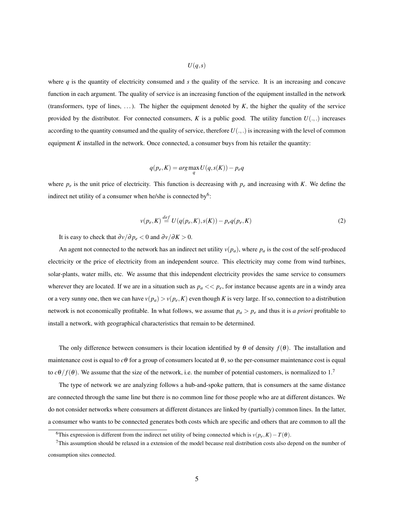$U(q,s)$ 

where  $q$  is the quantity of electricity consumed and  $s$  the quality of the service. It is an increasing and concave function in each argument. The quality of service is an increasing function of the equipment installed in the network (transformers, type of lines, ...). The higher the equipment denoted by  $K$ , the higher the quality of the service provided by the distributor. For connected consumers, *K* is a public good. The utility function  $U(.,.)$  increases according to the quantity consumed and the quality of service, therefore  $U(.,.)$  is increasing with the level of common equipment *K* installed in the network. Once connected, a consumer buys from his retailer the quantity:

$$
q(p_e, K) = \arg\max_{q} U(q, s(K)) - p_e q
$$

where *p<sup>e</sup>* is the unit price of electricity. This function is decreasing with *p<sup>e</sup>* and increasing with *K*. We define the indirect net utility of a consumer when he/she is connected by<sup>6</sup>:

$$
v(p_e, K) \stackrel{def}{=} U(q(p_e, K), s(K)) - p_e q(p_e, K)
$$
\n(2)

It is easy to check that  $\partial v / \partial p_e < 0$  and  $\partial v / \partial K > 0$ .

An agent not connected to the network has an indirect net utility  $v(p_a)$ , where  $p_a$  is the cost of the self-produced electricity or the price of electricity from an independent source. This electricity may come from wind turbines, solar-plants, water mills, etc. We assume that this independent electricity provides the same service to consumers wherever they are located. If we are in a situation such as  $p_a \ll p_e$ , for instance because agents are in a windy area or a very sunny one, then we can have  $v(p_a) > v(p_e, K)$  even though *K* is very large. If so, connection to a distribution network is not economically profitable. In what follows, we assume that *p<sup>a</sup>* > *p<sup>e</sup>* and thus it is *a priori* profitable to install a network, with geographical characteristics that remain to be determined.

The only difference between consumers is their location identified by  $\theta$  of density  $f(\theta)$ . The installation and maintenance cost is equal to  $c\theta$  for a group of consumers located at  $\theta$ , so the per-consumer maintenance cost is equal to  $c\theta/f(\theta)$ . We assume that the size of the network, i.e. the number of potential customers, is normalized to 1.<sup>7</sup>

The type of network we are analyzing follows a hub-and-spoke pattern, that is consumers at the same distance are connected through the same line but there is no common line for those people who are at different distances. We do not consider networks where consumers at different distances are linked by (partially) common lines. In the latter, a consumer who wants to be connected generates both costs which are specific and others that are common to all the

<sup>6</sup>This expression is different from the indirect net utility of being connected which is *v*(*pe*,*K*)−*T*(θ).

 $7$ This assumption should be relaxed in a extension of the model because real distribution costs also depend on the number of consumption sites connected.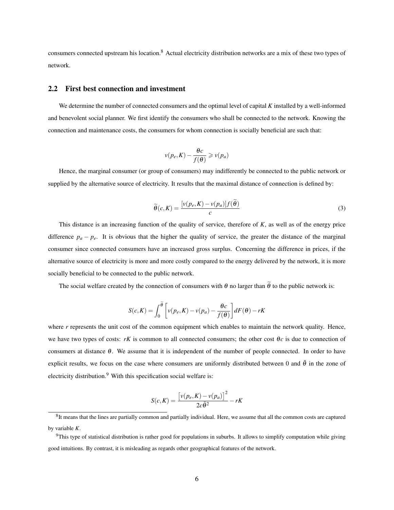consumers connected upstream his location.<sup>8</sup> Actual electricity distribution networks are a mix of these two types of network.

#### 2.2 First best connection and investment

We determine the number of connected consumers and the optimal level of capital *K* installed by a well-informed and benevolent social planner. We first identify the consumers who shall be connected to the network. Knowing the connection and maintenance costs, the consumers for whom connection is socially beneficial are such that:

$$
v(p_e, K) - \frac{\theta c}{f(\theta)} \geqslant v(p_a)
$$

Hence, the marginal consumer (or group of consumers) may indifferently be connected to the public network or supplied by the alternative source of electricity. It results that the maximal distance of connection is defined by:

$$
\widetilde{\theta}(c,K) = \frac{\left[v(p_e, K) - v(p_a)\right]f(\widetilde{\theta})}{c} \tag{3}
$$

This distance is an increasing function of the quality of service, therefore of *K*, as well as of the energy price difference  $p_a - p_e$ . It is obvious that the higher the quality of service, the greater the distance of the marginal consumer since connected consumers have an increased gross surplus. Concerning the difference in prices, if the alternative source of electricity is more and more costly compared to the energy delivered by the network, it is more socially beneficial to be connected to the public network.

The social welfare created by the connection of consumers with  $\theta$  no larger than  $\tilde{\theta}$  to the public network is:

$$
S(c,K) = \int_0^{\widetilde{\theta}} \left[ v(p_e, K) - v(p_a) - \frac{\theta c}{f(\theta)} \right] dF(\theta) - rK
$$

where *r* represents the unit cost of the common equipment which enables to maintain the network quality. Hence, we have two types of costs: *rK* is common to all connected consumers; the other cost  $\theta_c$  is due to connection of consumers at distance  $\theta$ . We assume that it is independent of the number of people connected. In order to have explicit results, we focus on the case where consumers are uniformly distributed between 0 and  $\bar{\theta}$  in the zone of electricity distribution.<sup>9</sup> With this specification social welfare is:

$$
S(c,K) = \frac{\left[v(p_e, K) - v(p_a)\right]^2}{2c\bar{\theta}^2} - rK
$$

 ${}^{8}$ It means that the lines are partially common and partially individual. Here, we assume that all the common costs are captured by variable *K*.

 $9$ This type of statistical distribution is rather good for populations in suburbs. It allows to simplify computation while giving good intuitions. By contrast, it is misleading as regards other geographical features of the network.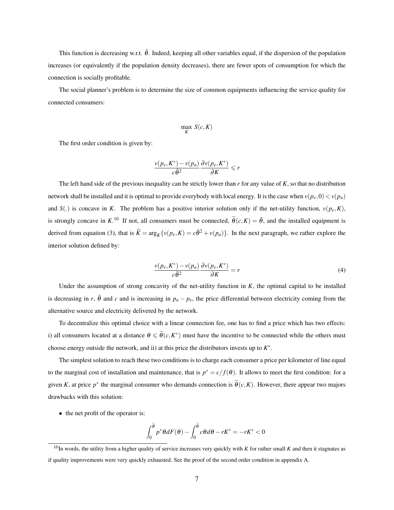This function is decreasing w.r.t.  $\bar{\theta}$ . Indeed, keeping all other variables equal, if the dispersion of the population increases (or equivalently if the population density decreases), there are fewer spots of consumption for which the connection is socially profitable.

The social planner's problem is to determine the size of common equipments influencing the service quality for connected consumers:

$$
\max_{K} S(c,K)
$$

The first order condition is given by:

$$
\frac{v(p_e, K^*) - v(p_a)}{c\bar{\theta}^2} \frac{\partial v(p_e, K^*)}{\partial K} \leq r
$$

The left hand side of the previous inequality can be strictly lower than *r* for any value of *K*, so that no distribution network shall be installed and it is optimal to provide everybody with local energy. It is the case when  $v(p_e, 0) < v(p_a)$ and *S*(.) is concave in *K*. The problem has a positive interior solution only if the net-utility function,  $v(p_e, K)$ , is strongly concave in  $K$ <sup>10</sup>. If not, all consumers must be connected,  $\tilde{\theta}(c,K) = \bar{\theta}$ , and the installed equipment is derived from equation (3), that is  $\hat{K} = \arg_K \{ v(p_e, K) = c\bar{\theta}^2 + v(p_a) \}$ . In the next paragraph, we rather explore the interior solution defined by:

$$
\frac{v(p_e, K^*) - v(p_a)}{c\bar{\theta}^2} \frac{\partial v(p_e, K^*)}{\partial K} = r
$$
\n(4)

Under the assumption of strong concavity of the net-utility function in  $K$ , the optimal capital to be installed is decreasing in *r*,  $\bar{\theta}$  and *c* and is increasing in  $p_a - p_e$ , the price differential between electricity coming from the alternative source and electricity delivered by the network.

To decentralize this optimal choice with a linear connection fee, one has to find a price which has two effects: i) all consumers located at a distance  $\theta \le \tilde{\theta}(c, K^*)$  must have the incentive to be connected while the others must choose energy outside the network, and ii) at this price the distributors invests up to *K* ∗ .

The simplest solution to reach these two conditions is to charge each consumer a price per kilometer of line equal to the marginal cost of installation and maintenance, that is  $p^* = c/f(\theta)$ . It allows to meet the first condition: for a given *K*, at price  $p^*$  the marginal consumer who demands connection is  $\tilde{\theta}(c,K)$ . However, there appear two majors drawbacks with this solution:

• the net profit of the operator is:

$$
\int_0^{\widetilde{\theta}} p^* \theta dF(\theta) - \int_0^{\widetilde{\theta}} c \theta d\theta - rK^* = -rK^* < 0
$$

 $^{10}$ In words, the utility from a higher quality of service increases very quickly with *K* for rather small *K* and then it stagnates as if quality improvements were very quickly exhausted. See the proof of the second order condition in appendix A.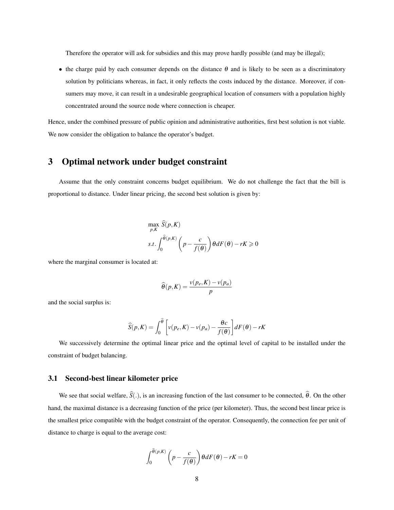Therefore the operator will ask for subsidies and this may prove hardly possible (and may be illegal);

• the charge paid by each consumer depends on the distance  $\theta$  and is likely to be seen as a discriminatory solution by politicians whereas, in fact, it only reflects the costs induced by the distance. Moreover, if consumers may move, it can result in a undesirable geographical location of consumers with a population highly concentrated around the source node where connection is cheaper.

Hence, under the combined pressure of public opinion and administrative authorities, first best solution is not viable. We now consider the obligation to balance the operator's budget.

### 3 Optimal network under budget constraint

Assume that the only constraint concerns budget equilibrium. We do not challenge the fact that the bill is proportional to distance. Under linear pricing, the second best solution is given by:

$$
\max_{p,K} \widehat{S}(p,K)
$$
  
s.t. 
$$
\int_0^{\widehat{\theta}(p,K)} \left( p - \frac{c}{f(\theta)} \right) \theta dF(\theta) - rK \ge 0
$$

where the marginal consumer is located at:

$$
\widehat{\theta}(p,K) = \frac{v(p_e, K) - v(p_a)}{p}
$$

and the social surplus is:

$$
\widehat{S}(p,K) = \int_0^{\widehat{\theta}} \left[ v(p_e, K) - v(p_a) - \frac{\theta c}{f(\theta)} \right] dF(\theta) - rK
$$

We successively determine the optimal linear price and the optimal level of capital to be installed under the constraint of budget balancing.

#### 3.1 Second-best linear kilometer price

We see that social welfare,  $\hat{S}(.)$ , is an increasing function of the last consumer to be connected,  $\hat{\theta}$ . On the other hand, the maximal distance is a decreasing function of the price (per kilometer). Thus, the second best linear price is the smallest price compatible with the budget constraint of the operator. Consequently, the connection fee per unit of distance to charge is equal to the average cost:

$$
\int_0^{\widehat{\theta}(p,K)} \left( p - \frac{c}{f(\theta)} \right) \theta dF(\theta) - rK = 0
$$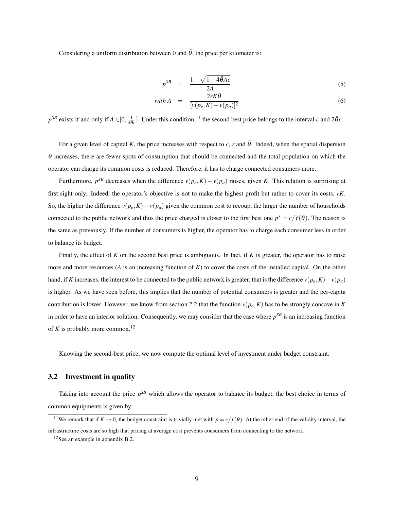Considering a uniform distribution between 0 and  $\bar{\theta}$ , the price per kilometer is:

$$
p^{SB} = \frac{1 - \sqrt{1 - 4\bar{\theta}Ac}}{2A} \tag{5}
$$

$$
\text{with } A = \frac{2rK\bar{\theta}}{[v(p_e, K) - v(p_a)]^2} \tag{6}
$$

 $p^{SB}$  exists if and only if  $A \in ]0, \frac{1}{4\bar{\theta}c}].$  Under this condition,<sup>11</sup> the second best price belongs to the interval *c* and  $2\bar{\theta}c$ .

For a given level of capital K, the price increases with respect to *c*, *r* and  $\bar{\theta}$ . Indeed, when the spatial dispersion  $\bar{\theta}$  increases, there are fewer spots of consumption that should be connected and the total population on which the operator can charge its common costs is reduced. Therefore, it has to charge connected consumers more.

Furthermore,  $p^{SB}$  decreases when the difference  $v(p_e, K) - v(p_a)$  raises, given *K*. This relation is surprising at first sight only. Indeed, the operator's objective is not to make the highest profit but rather to cover its costs, *rK*. So, the higher the difference  $v(p_e, K) - v(p_a)$  given the common cost to recoup, the larger the number of households connected to the public network and thus the price charged is closer to the first best one  $p^* = c/f(\theta)$ . The reason is the same as previously. If the number of consumers is higher, the operator has to charge each consumer less in order to balance its budget.

Finally, the effect of  $K$  on the second best price is ambiguous. In fact, if  $K$  is greater, the operator has to raise more and more resources (*A* is an increasing function of *K*) to cover the costs of the installed capital. On the other hand, if *K* increases, the interest to be connected to the public network is greater, that is the difference  $v(p_e, K) - v(p_a)$ is higher. As we have seen before, this implies that the number of potential consumers is greater and the per-capita contribution is lower. However, we know from section 2.2 that the function  $v(p_e, K)$  has to be strongly concave in *K* in order to have an interior solution. Consequently, we may consider that the case where *p SB* is an increasing function of  $K$  is probably more common.<sup>12</sup>

Knowing the second-best price, we now compute the optimal level of investment under budget constraint.

#### 3.2 Investment in quality

Taking into account the price  $p^{SB}$  which allows the operator to balance its budget, the best choice in terms of common equipments is given by:

<sup>&</sup>lt;sup>11</sup>We remark that if  $K \to 0$ , the budget constraint is trivially met with  $p = c/f(\theta)$ . At the other end of the validity interval, the

infrastructure costs are so high that pricing at average cost prevents consumers from connecting to the network.

<sup>12</sup>See an example in appendix B.2.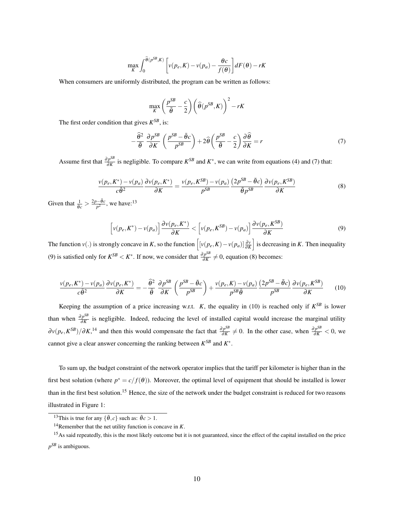$$
\max_{K} \int_{0}^{\widehat{\theta}(p^{SB}, K)} \left[ v(p_e, K) - v(p_a) - \frac{\theta c}{f(\theta)} \right] dF(\theta) - rK
$$

When consumers are uniformly distributed, the program can be written as follows:

$$
\max_{K} \left( \frac{p^{SB}}{\bar{\theta}} - \frac{c}{2} \right) \left( \widehat{\theta}(p^{SB}, K) \right)^2 - rK
$$

The first order condition that gives  $K^{SB}$ , is:

$$
-\frac{\hat{\theta}^2}{\bar{\theta}}\frac{\partial p^{SB}}{\partial K}\left(\frac{p^{SB}-\bar{\theta}c}{p^{SB}}\right)+2\hat{\theta}\left(\frac{p^{SB}}{\bar{\theta}}-\frac{c}{2}\right)\frac{\partial\hat{\theta}}{\partial K}=r
$$
\n(7)

Assume first that  $\frac{\partial p^{SB}}{\partial K}$  $\frac{\partial P^{2D}}{\partial K}$  is negligible. To compare  $K^{SB}$  and  $K^*$ , we can write from equations (4) and (7) that:

$$
\frac{v(p_e, K^*) - v(p_a)}{c\bar{\theta}^2} \frac{\partial v(p_e, K^*)}{\partial K} = \frac{v(p_e, K^{SB}) - v(p_a)}{p^{SB}} \frac{(2p^{SB} - \bar{\theta}c)}{\bar{\theta}p^{SB}} \frac{\partial v(p_e, K^{SB})}{\partial K}
$$
(8)

Given that  $\frac{1}{\theta_c} > \frac{2p - \bar{\theta}c}{p^2}$  $\frac{\partial}{\partial p^2}$ , we have:<sup>13</sup>

$$
\left[\nu(p_e, K^*) - \nu(p_a)\right] \frac{\partial \nu(p_e, K^*)}{\partial K} < \left[\nu(p_e, K^{SB}) - \nu(p_a)\right] \frac{\partial \nu(p_e, K^{SB})}{\partial K} \tag{9}
$$

The function  $v(.)$  is strongly concave in *K*, so the function  $\left[ [v(p_e, K) - v(p_a)] \frac{\partial v}{\partial K} \right]$  is decreasing in *K*. Then inequality (9) is satisfied only for  $K^{SB} < K^*$ . If now, we consider that  $\frac{\partial p^{SB}}{\partial K}$  $\frac{p^{\rho}}{\partial K} \neq 0$ , equation (8) becomes:

$$
\frac{v(p_e, K^*) - v(p_a)}{c\bar{\theta}^2} \frac{\partial v(p_e, K^*)}{\partial K} = -\frac{\widehat{\theta}^2}{\bar{\theta}} \frac{\partial p^{SB}}{\partial K} \left(\frac{p^{SB} - \bar{\theta}c}{p^{SB}}\right) + \frac{v(p_e, K) - v(p_a)}{p^{SB}\bar{\theta}} \frac{(2p^{SB} - \bar{\theta}c)}{p^{SB}} \frac{\partial v(p_e, K^{SB})}{\partial K} \tag{10}
$$

Keeping the assumption of a price increasing w.r.t. *K*, the equality in (10) is reached only if  $K^{SB}$  is lower than when  $\frac{\partial p^{SB}}{\partial K}$ *<sup>p*∞</sup> is negligible. Indeed, reducing the level of installed capital would increase the marginal utility  $\partial v(p_e, K^{SB})/\partial K$ <sup>, 14</sup> and then this would compensate the fact that  $\frac{\partial p^{SB}}{\partial K}$  $\frac{\partial p^{SB}}{\partial K}$  ≠ 0. In the other case, when  $\frac{\partial p^{SB}}{\partial K}$  < 0, we cannot give a clear answer concerning the ranking between  $K^{SB}$  and  $K^*$ .

To sum up, the budget constraint of the network operator implies that the tariff per kilometer is higher than in the first best solution (where  $p^* = c/f(\theta)$ ). Moreover, the optimal level of equipment that should be installed is lower than in the first best solution.<sup>15</sup> Hence, the size of the network under the budget constraint is reduced for two reasons illustrated in Figure 1:

<sup>&</sup>lt;sup>13</sup>This is true for any  $\{\bar{\theta}, c\}$  such as:  $\bar{\theta}c > 1$ .

<sup>14</sup>Remember that the net utility function is concave in *K*.

<sup>&</sup>lt;sup>15</sup>As said repeatedly, this is the most likely outcome but it is not guaranteed, since the effect of the capital installed on the price *p SB* is ambiguous.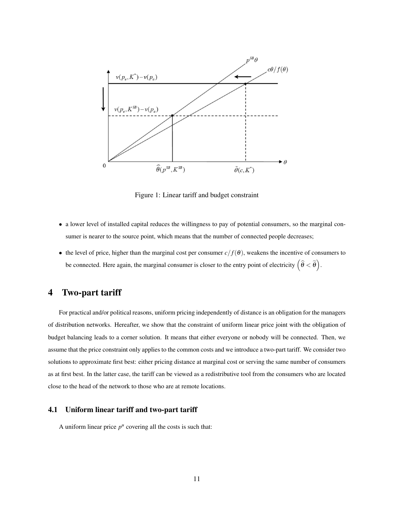

Figure 1: Linear tariff and budget constraint

- a lower level of installed capital reduces the willingness to pay of potential consumers, so the marginal consumer is nearer to the source point, which means that the number of connected people decreases;
- the level of price, higher than the marginal cost per consumer  $c/f(\theta)$ , weakens the incentive of consumers to be connected. Here again, the marginal consumer is closer to the entry point of electricity  $(\widehat{\theta} < \widetilde{\theta})$ .

### 4 Two-part tariff

For practical and/or political reasons, uniform pricing independently of distance is an obligation for the managers of distribution networks. Hereafter, we show that the constraint of uniform linear price joint with the obligation of budget balancing leads to a corner solution. It means that either everyone or nobody will be connected. Then, we assume that the price constraint only applies to the common costs and we introduce a two-part tariff. We consider two solutions to approximate first best: either pricing distance at marginal cost or serving the same number of consumers as at first best. In the latter case, the tariff can be viewed as a redistributive tool from the consumers who are located close to the head of the network to those who are at remote locations.

#### 4.1 Uniform linear tariff and two-part tariff

A uniform linear price  $p^u$  covering all the costs is such that: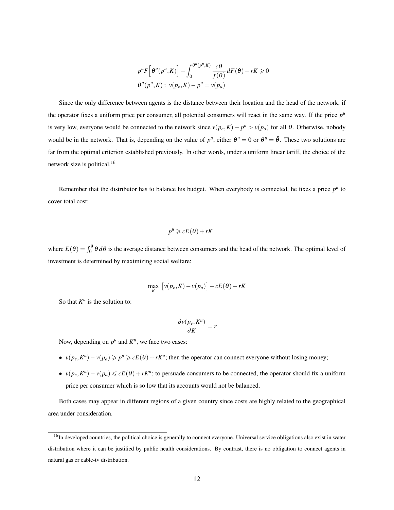$$
p^{u} F\left[\theta^{u}(p^{u}, K)\right] - \int_{0}^{\theta^{u}(p^{u}, K)} \frac{c\theta}{f(\theta)} dF(\theta) - rK \ge 0
$$
  

$$
\theta^{u}(p^{u}, K): v(p_{e}, K) - p^{u} = v(p_{a})
$$

Since the only difference between agents is the distance between their location and the head of the network, if the operator fixes a uniform price per consumer, all potential consumers will react in the same way. If the price  $p<sup>u</sup>$ is very low, everyone would be connected to the network since  $v(p_e, K) - p^u > v(p_a)$  for all  $\theta$ . Otherwise, nobody would be in the network. That is, depending on the value of  $p^u$ , either  $\theta^u = 0$  or  $\theta^u = \bar{\theta}$ . These two solutions are far from the optimal criterion established previously. In other words, under a uniform linear tariff, the choice of the network size is political.<sup>16</sup>

Remember that the distributor has to balance his budget. When everybody is connected, he fixes a price  $p<sup>u</sup>$  to cover total cost:

$$
p^u \geqslant cE(\theta) + rK
$$

where  $E(\theta) = \int_0^{\bar{\theta}} \theta d\theta$  is the average distance between consumers and the head of the network. The optimal level of investment is determined by maximizing social welfare:

$$
\max_{K} [v(p_e, K) - v(p_a)] - cE(\theta) - rK
$$

So that  $K^u$  is the solution to:

$$
\frac{\partial v(p_e, K^u)}{\partial K} = r
$$

Now, depending on  $p^u$  and  $K^u$ , we face two cases:

- $v(p_e, K^u) v(p_a) \geqslant p^u \geqslant cE(\theta) + rK^u$ ; then the operator can connect everyone without losing money;
- $v(p_e, K^u) v(p_a) \leq cE(\theta) + rK^u$ ; to persuade consumers to be connected, the operator should fix a uniform price per consumer which is so low that its accounts would not be balanced.

Both cases may appear in different regions of a given country since costs are highly related to the geographical area under consideration.

<sup>&</sup>lt;sup>16</sup>In developed countries, the political choice is generally to connect everyone. Universal service obligations also exist in water distribution where it can be justified by public health considerations. By contrast, there is no obligation to connect agents in natural gas or cable-tv distribution.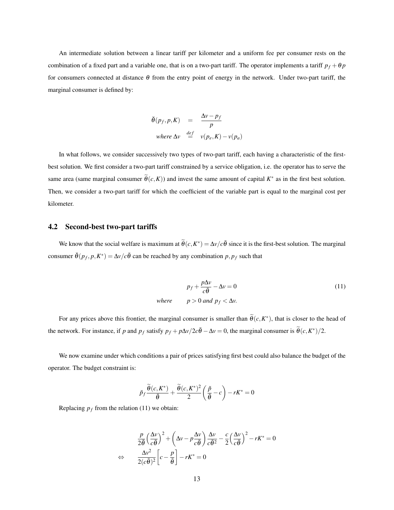An intermediate solution between a linear tariff per kilometer and a uniform fee per consumer rests on the combination of a fixed part and a variable one, that is on a two-part tariff. The operator implements a tariff  $p_f + \theta p$ for consumers connected at distance  $\theta$  from the entry point of energy in the network. Under two-part tariff, the marginal consumer is defined by:

$$
\ddot{\theta}(p_f, p, K) = \frac{\Delta v - p_f}{p}
$$
  
where  $\Delta v \stackrel{def}{=} v(p_e, K) - v(p_a)$ 

In what follows, we consider successively two types of two-part tariff, each having a characteristic of the firstbest solution. We first consider a two-part tariff constrained by a service obligation, i.e. the operator has to serve the same area (same marginal consumer  $\tilde{\theta}(c,K)$ ) and invest the same amount of capital  $K^*$  as in the first best solution. Then, we consider a two-part tariff for which the coefficient of the variable part is equal to the marginal cost per kilometer.

#### 4.2 Second-best two-part tariffs

We know that the social welfare is maximum at  $\tilde{\theta}(c, K^*) = \Delta v/c\bar{\theta}$  since it is the first-best solution. The marginal consumer  $\check{\theta}(p_f, p, K^*) = \Delta v/c\bar{\theta}$  can be reached by any combination  $p, p_f$  such that

$$
p_f + \frac{p\Delta v}{c\bar{\theta}} - \Delta v = 0
$$
\nwhere  $p > 0$  and  $p_f < \Delta v$ . (11)

For any prices above this frontier, the marginal consumer is smaller than  $\tilde{\theta}(c, K^*)$ , that is closer to the head of the network. For instance, if *p* and  $p_f$  satisfy  $p_f + p\Delta v/2c\bar{\theta} - \Delta v = 0$ , the marginal consumer is  $\tilde{\theta}(c, K^*)/2$ .

We now examine under which conditions a pair of prices satisfying first best could also balance the budget of the operator. The budget constraint is:

$$
\breve{p}_f \frac{\widetilde{\theta}(c, K^*)}{\bar{\theta}} + \frac{\widetilde{\theta}(c, K^*)^2}{2} \left(\frac{\breve{p}}{\bar{\theta}} - c\right) - rK^* = 0
$$

Replacing  $p_f$  from the relation (11) we obtain:

$$
\frac{p}{2\bar{\theta}} \left(\frac{\Delta v}{c\bar{\theta}}\right)^2 + \left(\Delta v - p\frac{\Delta v}{c\bar{\theta}}\right) \frac{\Delta v}{c\bar{\theta}^2} - \frac{c}{2} \left(\frac{\Delta v}{c\bar{\theta}}\right)^2 - rK^* = 0
$$
  

$$
\Leftrightarrow \frac{\Delta v^2}{2(c\bar{\theta})^2} \left[c - \frac{p}{\bar{\theta}}\right] - rK^* = 0
$$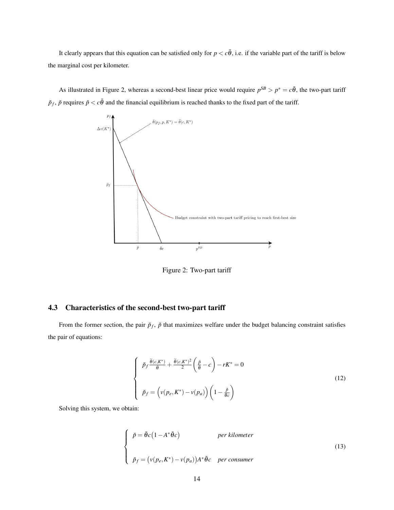It clearly appears that this equation can be satisfied only for  $p < c\bar{\theta}$ , i.e. if the variable part of the tariff is below the marginal cost per kilometer.

As illustrated in Figure 2, whereas a second-best linear price would require  $p^{SB} > p^* = c\bar{\theta}$ , the two-part tariff  $\breve{p}_f$ ,  $\breve{p}$  requires  $\breve{p} < c\bar{\theta}$  and the financial equilibrium is reached thanks to the fixed part of the tariff.



Figure 2: Two-part tariff

#### 4.3 Characteristics of the second-best two-part tariff

From the former section, the pair  $\check{p}_f$ ,  $\check{p}$  that maximizes welfare under the budget balancing constraint satisfies the pair of equations:

$$
\begin{cases}\n\check{p}_f \frac{\tilde{\theta}(c, K^*)}{\tilde{\theta}} + \frac{\tilde{\theta}(c, K^*)^2}{2} \left(\frac{\check{p}}{\tilde{\theta}} - c\right) - rK^* = 0 \\
\check{p}_f = \left(v(p_e, K^*) - v(p_a)\right) \left(1 - \frac{\check{p}}{\tilde{\theta}c}\right)\n\end{cases} \tag{12}
$$

Solving this system, we obtain:

$$
\begin{cases}\n\check{p} = \bar{\theta}c(1 - A^*\bar{\theta}c) & \text{per kilometer} \\
\check{p}_f = (v(p_e, K^*) - v(p_a))A^*\bar{\theta}c & \text{per consumer}\n\end{cases}
$$
\n(13)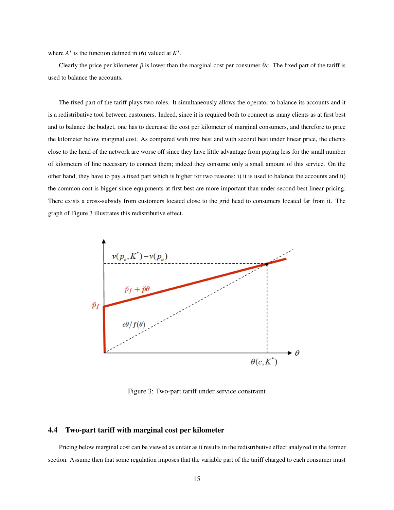where  $A^*$  is the function defined in (6) valued at  $K^*$ .

Clearly the price per kilometer  $\check{p}$  is lower than the marginal cost per consumer  $\bar{\theta}c$ . The fixed part of the tariff is used to balance the accounts.

The fixed part of the tariff plays two roles. It simultaneously allows the operator to balance its accounts and it is a redistributive tool between customers. Indeed, since it is required both to connect as many clients as at first best and to balance the budget, one has to decrease the cost per kilometer of marginal consumers, and therefore to price the kilometer below marginal cost. As compared with first best and with second best under linear price, the clients close to the head of the network are worse off since they have little advantage from paying less for the small number of kilometers of line necessary to connect them; indeed they consume only a small amount of this service. On the other hand, they have to pay a fixed part which is higher for two reasons: i) it is used to balance the accounts and ii) the common cost is bigger since equipments at first best are more important than under second-best linear pricing. There exists a cross-subsidy from customers located close to the grid head to consumers located far from it. The graph of Figure 3 illustrates this redistributive effect.



Figure 3: Two-part tariff under service constraint

#### 4.4 Two-part tariff with marginal cost per kilometer

Pricing below marginal cost can be viewed as unfair as it results in the redistributive effect analyzed in the former section. Assume then that some regulation imposes that the variable part of the tariff charged to each consumer must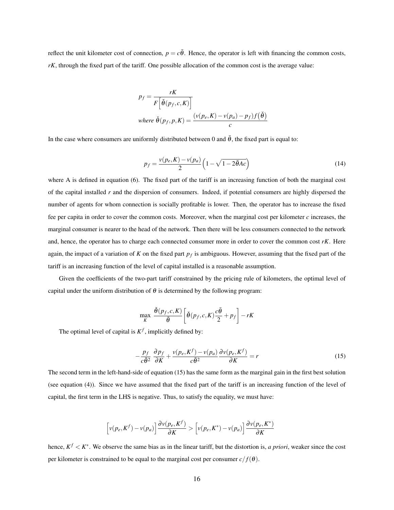reflect the unit kilometer cost of connection,  $p = c\bar{\theta}$ . Hence, the operator is left with financing the common costs, *rK*, through the fixed part of the tariff. One possible allocation of the common cost is the average value:

$$
p_f = \frac{rK}{F\left[\check{\theta}(p_f, c, K)\right]}
$$
  
where  $\check{\theta}(p_f, p, K) = \frac{(v(p_e, K) - v(p_a) - p_f)f(\check{\theta})}{c}$ 

In the case where consumers are uniformly distributed between 0 and  $\bar{\theta}$ , the fixed part is equal to:

$$
p_f = \frac{v(p_e, K) - v(p_a)}{2} \left(1 - \sqrt{1 - 2\bar{\theta}Ac}\right)
$$
\n(14)

where A is defined in equation (6). The fixed part of the tariff is an increasing function of both the marginal cost of the capital installed *r* and the dispersion of consumers. Indeed, if potential consumers are highly dispersed the number of agents for whom connection is socially profitable is lower. Then, the operator has to increase the fixed fee per capita in order to cover the common costs. Moreover, when the marginal cost per kilometer  $c$  increases, the marginal consumer is nearer to the head of the network. Then there will be less consumers connected to the network and, hence, the operator has to charge each connected consumer more in order to cover the common cost *rK*. Here again, the impact of a variation of *K* on the fixed part *p<sup>f</sup>* is ambiguous. However, assuming that the fixed part of the tariff is an increasing function of the level of capital installed is a reasonable assumption.

Given the coefficients of the two-part tariff constrained by the pricing rule of kilometers, the optimal level of capital under the uniform distribution of  $\theta$  is determined by the following program:

$$
\max_{K} \frac{\check{\theta}(p_f, c, K)}{\bar{\theta}} \bigg[ \check{\theta}(p_f, c, K) \frac{c\bar{\theta}}{2} + p_f \bigg] - rK
$$

The optimal level of capital is  $K^f$ , implicitly defined by:

$$
-\frac{p_f}{c\bar{\theta}^2} \frac{\partial p_f}{\partial K} + \frac{v(p_e, K^f) - v(p_a)}{c\bar{\theta}^2} \frac{\partial v(p_e, K^f)}{\partial K} = r
$$
\n(15)

The second term in the left-hand-side of equation (15) has the same form as the marginal gain in the first best solution (see equation (4)). Since we have assumed that the fixed part of the tariff is an increasing function of the level of capital, the first term in the LHS is negative. Thus, to satisfy the equality, we must have:

$$
\left[\nu(p_e, K^f) - \nu(p_a)\right] \frac{\partial \nu(p_e, K^f)}{\partial K} > \left[\nu(p_e, K^*) - \nu(p_a)\right] \frac{\partial \nu(p_e, K^*)}{\partial K}
$$

hence,  $K^f < K^*$ . We observe the same bias as in the linear tariff, but the distortion is, *a priori*, weaker since the cost per kilometer is constrained to be equal to the marginal cost per consumer  $c/f(\theta)$ .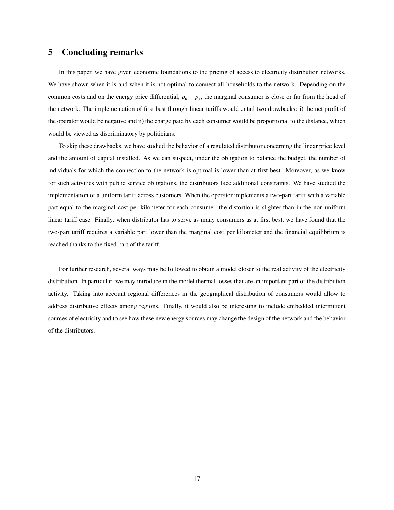### 5 Concluding remarks

In this paper, we have given economic foundations to the pricing of access to electricity distribution networks. We have shown when it is and when it is not optimal to connect all households to the network. Depending on the common costs and on the energy price differential,  $p_a - p_e$ , the marginal consumer is close or far from the head of the network. The implementation of first best through linear tariffs would entail two drawbacks: i) the net profit of the operator would be negative and ii) the charge paid by each consumer would be proportional to the distance, which would be viewed as discriminatory by politicians.

To skip these drawbacks, we have studied the behavior of a regulated distributor concerning the linear price level and the amount of capital installed. As we can suspect, under the obligation to balance the budget, the number of individuals for which the connection to the network is optimal is lower than at first best. Moreover, as we know for such activities with public service obligations, the distributors face additional constraints. We have studied the implementation of a uniform tariff across customers. When the operator implements a two-part tariff with a variable part equal to the marginal cost per kilometer for each consumer, the distortion is slighter than in the non uniform linear tariff case. Finally, when distributor has to serve as many consumers as at first best, we have found that the two-part tariff requires a variable part lower than the marginal cost per kilometer and the financial equilibrium is reached thanks to the fixed part of the tariff.

For further research, several ways may be followed to obtain a model closer to the real activity of the electricity distribution. In particular, we may introduce in the model thermal losses that are an important part of the distribution activity. Taking into account regional differences in the geographical distribution of consumers would allow to address distributive effects among regions. Finally, it would also be interesting to include embedded intermittent sources of electricity and to see how these new energy sources may change the design of the network and the behavior of the distributors.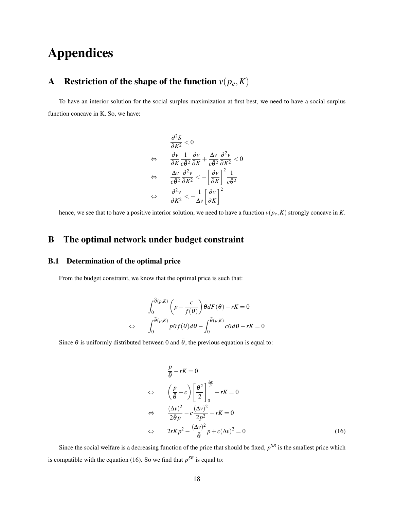# Appendices

# A Restriction of the shape of the function  $v(p_e, K)$

To have an interior solution for the social surplus maximization at first best, we need to have a social surplus function concave in K. So, we have:

$$
\frac{\partial^2 S}{\partial K^2} < 0
$$
\n
$$
\Leftrightarrow \quad \frac{\partial v}{\partial K} \frac{1}{c \bar{\theta}^2} \frac{\partial v}{\partial K} + \frac{\Delta v}{c \bar{\theta}^2} \frac{\partial^2 v}{\partial K^2} < 0
$$
\n
$$
\Leftrightarrow \quad \frac{\Delta v}{c \bar{\theta}^2} \frac{\partial^2 v}{\partial K^2} < -\left[\frac{\partial v}{\partial K}\right]^2 \frac{1}{c \bar{\theta}^2}
$$
\n
$$
\Leftrightarrow \quad \frac{\partial^2 v}{\partial K^2} < -\frac{1}{\Delta v} \left[\frac{\partial v}{\partial K}\right]^2
$$

hence, we see that to have a positive interior solution, we need to have a function  $v(p_e, K)$  strongly concave in  $K$ .

# B The optimal network under budget constraint

#### B.1 Determination of the optimal price

From the budget constraint, we know that the optimal price is such that:

$$
\int_0^{\theta(p,K)} \left( p - \frac{c}{f(\theta)} \right) \theta dF(\theta) - rK = 0
$$
  

$$
\Leftrightarrow \qquad \int_0^{\hat{\theta}(p,K)} p\theta f(\theta) d\theta - \int_0^{\hat{\theta}(p,K)} c\theta d\theta - rK = 0
$$

Since  $\theta$  is uniformly distributed between 0 and  $\bar{\theta}$ , the previous equation is equal to:

$$
\frac{p}{\bar{\theta}} - rK = 0
$$
\n
$$
\Leftrightarrow \qquad \left(\frac{p}{\bar{\theta}} - c\right) \left[\frac{\theta^2}{2}\right]_0^{\frac{\Delta v}{p}} - rK = 0
$$
\n
$$
\Leftrightarrow \qquad \frac{(\Delta v)^2}{2\bar{\theta}p} - c\frac{(\Delta v)^2}{2p^2} - rK = 0
$$
\n
$$
\Leftrightarrow \qquad 2rKp^2 - \frac{(\Delta v)^2}{\bar{\theta}}p + c(\Delta v)^2 = 0 \tag{16}
$$

Since the social welfare is a decreasing function of the price that should be fixed,  $p^{SB}$  is the smallest price which is compatible with the equation (16). So we find that  $p^{SB}$  is equal to: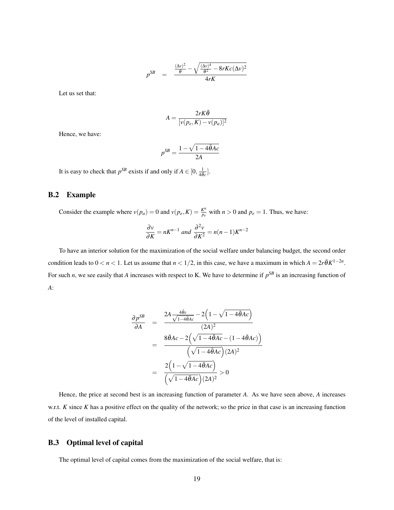$$
p^{SB} = \frac{\frac{(\Delta v)^2}{\tilde{\theta}} - \sqrt{\frac{(\Delta v)^4}{\tilde{\theta}^2} - 8rKc(\Delta v)^2}}{4rK}
$$

Let us set that:

$$
A = \frac{2rK\bar{\theta}}{[v(p_e, K) - v(p_a)]^2}
$$

Hence, we have:

$$
p^{SB} = \frac{1 - \sqrt{1 - 4\bar{\theta}Ac}}{2A}
$$

It is easy to check that  $p^{SB}$  exists if and only if  $A \in [0, \frac{1}{4\theta_c}]$ .

#### B.2 Example

Consider the example where  $v(p_a) = 0$  and  $v(p_e, K) = \frac{K^n}{p_a}$  $\frac{R^n}{p_e}$  with  $n > 0$  and  $p_e = 1$ . Thus, we have:

$$
\frac{\partial v}{\partial K} = nK^{n-1} \text{ and } \frac{\partial^2 v}{\partial K^2} = n(n-1)K^{n-2}
$$

To have an interior solution for the maximization of the social welfare under balancing budget, the second order condition leads to  $0 < n < 1$ . Let us assume that  $n < 1/2$ , in this case, we have a maximum in which  $A = 2r\bar{\theta}K^{1-2n}$ . For such *n*, we see easily that *A* increases with respect to K. We have to determine if  $p^{SB}$  is an increasing function of *A*:

$$
\frac{\partial p^{SB}}{\partial A} = \frac{2A \frac{4\bar{\theta}c}{\sqrt{1-4\bar{\theta}Ac}} - 2\left(1 - \sqrt{1 - 4\bar{\theta}Ac}\right)}{(2A)^2}
$$

$$
= \frac{8\bar{\theta}Ac - 2\left(\sqrt{1 - 4\bar{\theta}Ac} - (1 - 4\bar{\theta}Ac)\right)}{\left(\sqrt{1 - 4\bar{\theta}Ac}\right)(2A)^2}
$$

$$
= \frac{2\left(1 - \sqrt{1 - 4\bar{\theta}Ac}\right)}{\left(\sqrt{1 - 4\bar{\theta}Ac}\right)(2A)^2} > 0
$$

Hence, the price at second best is an increasing function of parameter *A*. As we have seen above, *A* increases w.r.t. *K* since *K* has a positive effect on the quality of the network; so the price in that case is an increasing function of the level of installed capital.

#### B.3 Optimal level of capital

The optimal level of capital comes from the maximization of the social welfare, that is: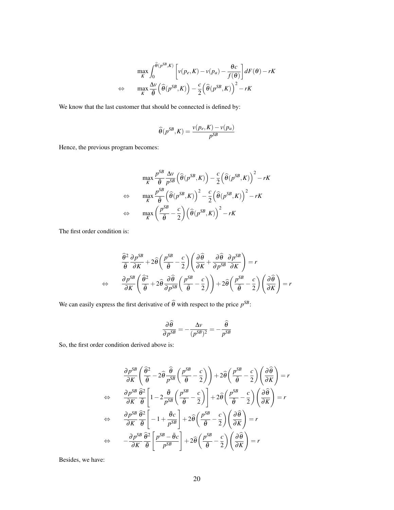$$
\max_{K} \int_{0}^{\widehat{\theta}(p^{SB}, K)} \left[ v(p_e, K) - v(p_a) - \frac{\theta c}{f(\theta)} \right] dF(\theta) - rK
$$
  

$$
\Leftrightarrow \max_{K} \frac{\Delta v}{\widehat{\theta}} \left( \widehat{\theta}(p^{SB}, K) \right) - \frac{c}{2} \left( \widehat{\theta}(p^{SB}, K) \right)^2 - rK
$$

We know that the last customer that should be connected is defined by:

$$
\widehat{\theta}(p^{SB}, K) = \frac{v(p_e, K) - v(p_a)}{p^{SB}}
$$

Hence, the previous program becomes:

$$
\max_{K} \frac{p^{SB}}{\hat{\theta}} \frac{\Delta v}{p^{SB}} \left( \hat{\theta}(p^{SB}, K) \right) - \frac{c}{2} \left( \hat{\theta}(p^{SB}, K) \right)^2 - rK
$$
  
\n
$$
\Leftrightarrow \quad \max_{K} \frac{p^{SB}}{\hat{\theta}} \left( \hat{\theta}(p^{SB}, K) \right)^2 - \frac{c}{2} \left( \hat{\theta}(p^{SB}, K) \right)^2 - rK
$$
  
\n
$$
\Leftrightarrow \quad \max_{K} \left( \frac{p^{SB}}{\hat{\theta}} - \frac{c}{2} \right) \left( \hat{\theta}(p^{SB}, K) \right)^2 - rK
$$

The first order condition is:

$$
\frac{\widehat{\theta}^2}{\overline{\theta}} \frac{\partial p^{SB}}{\partial K} + 2\widehat{\theta} \left( \frac{p^{SB}}{\overline{\theta}} - \frac{c}{2} \right) \left( \frac{\partial \widehat{\theta}}{\partial K} + \frac{\partial \widehat{\theta}}{\partial p^{SB}} \frac{\partial p^{SB}}{\partial K} \right) = r
$$
  

$$
\Leftrightarrow \qquad \frac{\partial p^{SB}}{\partial K} \left( \frac{\widehat{\theta}^2}{\overline{\theta}} + 2\widehat{\theta} \frac{\partial \widehat{\theta}}{\partial p^{SB}} \left( \frac{p^{SB}}{\overline{\theta}} - \frac{c}{2} \right) \right) + 2\widehat{\theta} \left( \frac{p^{SB}}{\overline{\theta}} - \frac{c}{2} \right) \left( \frac{\partial \widehat{\theta}}{\partial K} \right) = r
$$

We can easily express the first derivative of  $\hat{\theta}$  with respect to the price  $p^{SB}$ :

$$
\frac{\partial \widehat{\theta}}{\partial p^{SB}} = -\frac{\Delta v}{(p^{SB})^2} = -\frac{\widehat{\theta}}{p^{SB}}
$$

So, the first order condition derived above is:

$$
\frac{\partial p^{SB}}{\partial K} \left( \frac{\hat{\theta}^2}{\bar{\theta}} - 2 \hat{\theta} \frac{\hat{\theta}}{p^{SB}} \left( \frac{p^{SB}}{\bar{\theta}} - \frac{c}{2} \right) \right) + 2 \hat{\theta} \left( \frac{p^{SB}}{\bar{\theta}} - \frac{c}{2} \right) \left( \frac{\partial \hat{\theta}}{\partial K} \right) = r
$$
\n
$$
\Leftrightarrow \quad \frac{\partial p^{SB}}{\partial K} \frac{\hat{\theta}^2}{\bar{\theta}} \left[ 1 - 2 \frac{\bar{\theta}}{p^{SB}} \left( \frac{p^{SB}}{\bar{\theta}} - \frac{c}{2} \right) \right] + 2 \hat{\theta} \left( \frac{p^{SB}}{\bar{\theta}} - \frac{c}{2} \right) \left( \frac{\partial \hat{\theta}}{\partial K} \right) = r
$$
\n
$$
\Leftrightarrow \quad \frac{\partial p^{SB}}{\partial K} \frac{\hat{\theta}^2}{\bar{\theta}} \left[ -1 + \frac{\bar{\theta}c}{p^{SB}} \right] + 2 \hat{\theta} \left( \frac{p^{SB}}{\bar{\theta}} - \frac{c}{2} \right) \left( \frac{\partial \hat{\theta}}{\partial K} \right) = r
$$
\n
$$
\Leftrightarrow \quad -\frac{\partial p^{SB}}{\partial K} \frac{\hat{\theta}^2}{\bar{\theta}} \left[ \frac{p^{SB} - \bar{\theta}c}{p^{SB}} \right] + 2 \hat{\theta} \left( \frac{p^{SB}}{\bar{\theta}} - \frac{c}{2} \right) \left( \frac{\partial \hat{\theta}}{\partial K} \right) = r
$$

Besides, we have: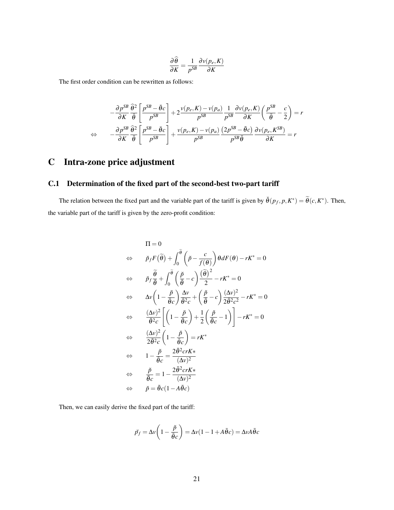$$
\frac{\partial \widehat{\theta}}{\partial K} = \frac{1}{p^{SB}} \frac{\partial v(p_e, K)}{\partial K}
$$

The first order condition can be rewritten as follows:

$$
-\frac{\partial p^{SB}}{\partial K} \frac{\hat{\theta}^2}{\hat{\theta}} \left[ \frac{p^{SB} - \bar{\theta}c}{p^{SB}} \right] + 2 \frac{\nu(p_e, K) - \nu(p_a)}{p^{SB}} \frac{1}{p^{SB}} \frac{\partial \nu(p_e, K)}{\partial K} \left( \frac{p^{SB}}{\hat{\theta}} - \frac{c}{2} \right) = r
$$
  

$$
\Leftrightarrow -\frac{\partial p^{SB}}{\partial K} \frac{\hat{\theta}^2}{\hat{\theta}} \left[ \frac{p^{SB} - \bar{\theta}c}{p^{SB}} \right] + \frac{\nu(p_e, K) - \nu(p_a)}{p^{SB}} \frac{(2p^{SB} - \bar{\theta}c)}{p^{SB} \hat{\theta}} \frac{\partial \nu(p_e, K^{SB})}{\partial K} = r
$$

# C Intra-zone price adjustment

### C.1 Determination of the fixed part of the second-best two-part tariff

The relation between the fixed part and the variable part of the tariff is given by  $\check{\theta}(p_f, p, K^*) = \widetilde{\theta}(c, K^*)$ . Then, the variable part of the tariff is given by the zero-profit condition:

$$
\Pi = 0
$$
\n
$$
\Leftrightarrow \tilde{p}_f F(\tilde{\theta}) + \int_0^{\tilde{\theta}} \left(\tilde{p} - \frac{c}{f(\theta)}\right) \theta dF(\theta) - rK^* = 0
$$
\n
$$
\Leftrightarrow \tilde{p}_f \frac{\tilde{\theta}}{\tilde{\theta}} + \int_0^{\tilde{\theta}} \left(\frac{\tilde{p}}{\tilde{\theta}} - c\right) \frac{(\tilde{\theta})^2}{2} - rK^* = 0
$$
\n
$$
\Leftrightarrow \Delta v \left(1 - \frac{\tilde{p}}{\tilde{\theta}c}\right) \frac{\Delta v}{\tilde{\theta}^2 c} + \left(\frac{\tilde{p}}{\tilde{\theta}} - c\right) \frac{(\Delta v)^2}{2\tilde{\theta}^2 c^2} - rK^* = 0
$$
\n
$$
\Leftrightarrow \frac{(\Delta v)^2}{\tilde{\theta}^2 c} \left[\left(1 - \frac{\tilde{p}}{\tilde{\theta}c}\right) + \frac{1}{2}\left(\frac{\tilde{p}}{\tilde{\theta}c} - 1\right)\right] - rK^* = 0
$$
\n
$$
\Leftrightarrow \frac{(\Delta v)^2}{2\tilde{\theta}^2 c} \left(1 - \frac{\tilde{p}}{\tilde{\theta}c}\right) = rK^*
$$
\n
$$
\Leftrightarrow 1 - \frac{\tilde{p}}{\tilde{\theta}c} = \frac{2\tilde{\theta}^2 c rK^*}{(\Delta v)^2}
$$
\n
$$
\Leftrightarrow \frac{\tilde{p}}{\tilde{\theta}c} = 1 - \frac{2\tilde{\theta}^2 c rK^*}{(\Delta v)^2}
$$
\n
$$
\Leftrightarrow \tilde{p} = \tilde{\theta}c(1 - A\tilde{\theta}c)
$$

Then, we can easily derive the fixed part of the tariff:

$$
\breve{p}_f = \Delta v \left( 1 - \frac{\breve{p}}{\bar{\theta}c} \right) = \Delta v (1 - 1 + A\bar{\theta}c) = \Delta v A\bar{\theta}c
$$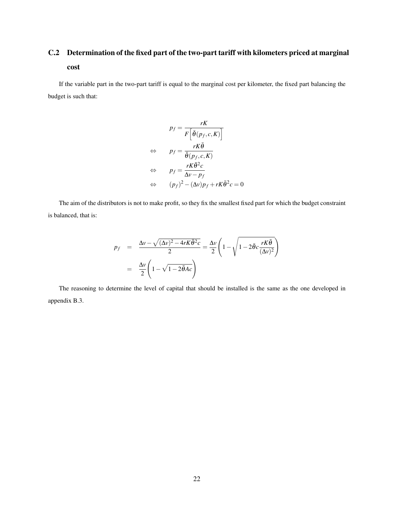# C.2 Determination of the fixed part of the two-part tariff with kilometers priced at marginal cost

If the variable part in the two-part tariff is equal to the marginal cost per kilometer, the fixed part balancing the budget is such that:

$$
p_f = \frac{rK}{F\left[\check{\theta}(p_f, c, K)\right]}
$$
  
\n
$$
\Leftrightarrow \qquad p_f = \frac{rK\bar{\theta}}{\check{\theta}(p_f, c, K)}
$$
  
\n
$$
\Leftrightarrow \qquad p_f = \frac{rK\bar{\theta}^2c}{\Delta v - p_f}
$$
  
\n
$$
\Leftrightarrow \qquad (p_f)^2 - (\Delta v)p_f + rK\bar{\theta}^2c = 0
$$

The aim of the distributors is not to make profit, so they fix the smallest fixed part for which the budget constraint is balanced, that is:

$$
p_f = \frac{\Delta v - \sqrt{(\Delta v)^2 - 4rK\bar{\theta}^2c}}{2} = \frac{\Delta v}{2} \left(1 - \sqrt{1 - 2\bar{\theta}c\frac{rK\bar{\theta}}{(\Delta v)^2}}\right)
$$

$$
= \frac{\Delta v}{2} \left(1 - \sqrt{1 - 2\bar{\theta}Ac}\right)
$$

The reasoning to determine the level of capital that should be installed is the same as the one developed in appendix B.3.